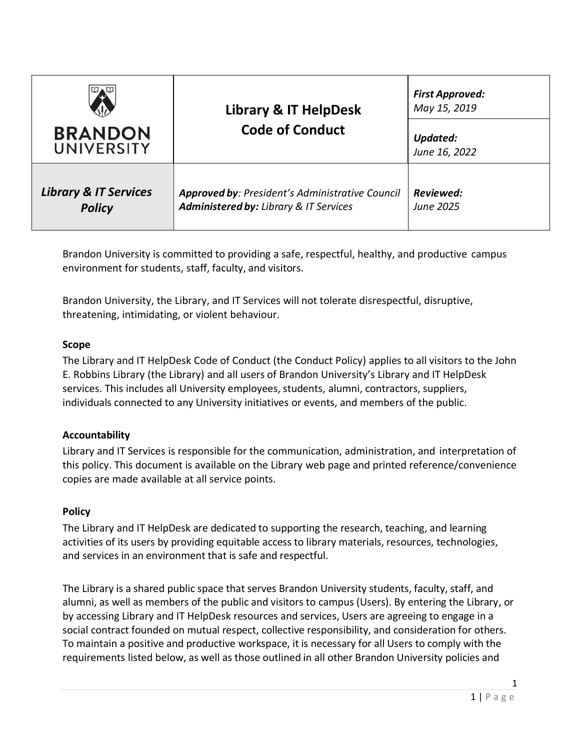| <b>BRANDON</b><br>UNIVERSITY     | Library & IT HelpDesk<br><b>Code of Conduct</b> | <b>First Approved:</b><br>May 15, 2019<br>Updated:<br>June 16, 2022 |
|----------------------------------|-------------------------------------------------|---------------------------------------------------------------------|
| <b>Library &amp; IT Services</b> | Approved by: President's Administrative Council | Reviewed:                                                           |
| <b>Policy</b>                    | Administered by: Library & IT Services          | June 2025                                                           |

Brandon University is committed to providing a safe, respectful, healthy, and productive campus environment for students, staff, faculty, and visitors.

Brandon University, the Library, and IT Services will not tolerate disrespectful, disruptive, threatening, intimidating, or violent behaviour.

### **Scope**

The Library and IT HelpDesk Code of Conduct (the Conduct Policy) applies to all visitors to the John E. Robbins Library (the Library) and all users of Brandon University's Library and IT HelpDesk services. This includes all University employees, students, alumni, contractors, suppliers, individuals connected to any University initiatives or events, and members of the public.

## **Accountability**

Library and IT Services is responsible for the communication, administration, and interpretation of this policy. This document is available on the Library web page and printed reference/convenience copies are made available at all service points.

## **Policy**

The Library and IT HelpDesk are dedicated to supporting the research, teaching, and learning activities of its users by providing equitable access to library materials, resources, technologies, and services in an environment that is safe and respectful.

The Library is a shared public space that serves Brandon University students, faculty, staff, and alumni, as well as members of the public and visitors to campus (Users). By entering the Library, or by accessing Library and IT HelpDesk resources and services, Users are agreeing to engage in a social contract founded on mutual respect, collective responsibility, and consideration for others. To maintain a positive and productive workspace, it is necessary for all Users to comply with the requirements listed below, as well as those outlined in all other Brandon University policies and

1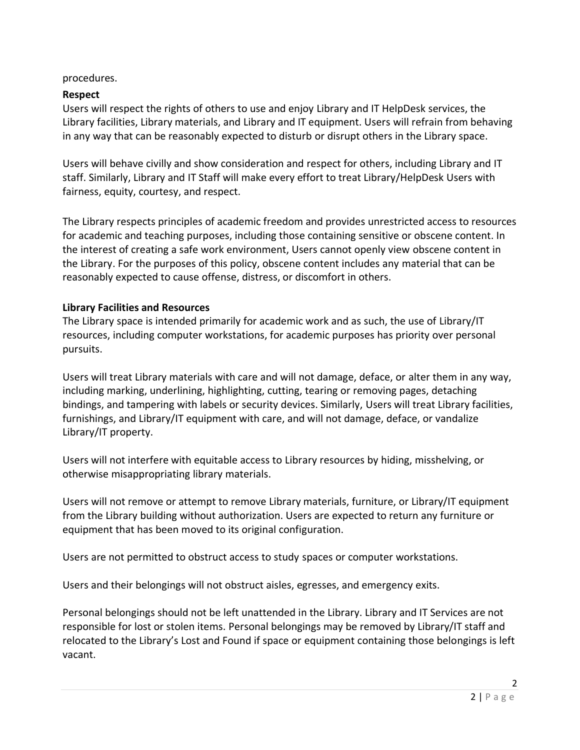# procedures.

# **Respect**

Users will respect the rights of others to use and enjoy Library and IT HelpDesk services, the Library facilities, Library materials, and Library and IT equipment. Users will refrain from behaving in any way that can be reasonably expected to disturb or disrupt others in the Library space.

Users will behave civilly and show consideration and respect for others, including Library and IT staff. Similarly, Library and IT Staff will make every effort to treat Library/HelpDesk Users with fairness, equity, courtesy, and respect.

The Library respects principles of academic freedom and provides unrestricted access to resources for academic and teaching purposes, including those containing sensitive or obscene content. In the interest of creating a safe work environment, Users cannot openly view obscene content in the Library. For the purposes of this policy, obscene content includes any material that can be reasonably expected to cause offense, distress, or discomfort in others.

# **Library Facilities and Resources**

The Library space is intended primarily for academic work and as such, the use of Library/IT resources, including computer workstations, for academic purposes has priority over personal pursuits.

Users will treat Library materials with care and will not damage, deface, or alter them in any way, including marking, underlining, highlighting, cutting, tearing or removing pages, detaching bindings, and tampering with labels or security devices. Similarly, Users will treat Library facilities, furnishings, and Library/IT equipment with care, and will not damage, deface, or vandalize Library/IT property.

Users will not interfere with equitable access to Library resources by hiding, misshelving, or otherwise misappropriating library materials.

Users will not remove or attempt to remove Library materials, furniture, or Library/IT equipment from the Library building without authorization. Users are expected to return any furniture or equipment that has been moved to its original configuration.

Users are not permitted to obstruct access to study spaces or computer workstations.

Users and their belongings will not obstruct aisles, egresses, and emergency exits.

Personal belongings should not be left unattended in the Library. Library and IT Services are not responsible for lost or stolen items. Personal belongings may be removed by Library/IT staff and relocated to the Library's Lost and Found if space or equipment containing those belongings is left vacant.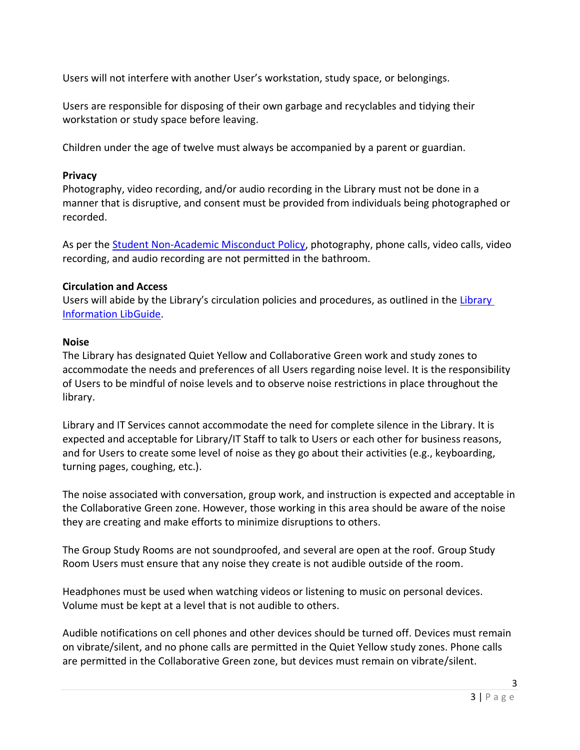Users will not interfere with another User's workstation, study space, or belongings.

Users are responsible for disposing of their own garbage and recyclables and tidying their workstation or study space before leaving.

Children under the age of twelve must always be accompanied by a parent or guardian.

### **Privacy**

Photography, video recording, and/or audio recording in the Library must not be done in a manner that is disruptive, and consent must be provided from individuals being photographed or recorded.

As per the **Student Non-Academic Misconduct Policy**, photography, phone calls, video calls, video recording, and audio recording are not permitted in the bathroom.

### **Circulation and Access**

Users will abide by the Library's circulation policies and procedures, as outlined in the Library [Information LibGuide.](http://libguides.brandonu.ca/LibInfo/Borrower)

### **Noise**

The Library has designated Quiet Yellow and Collaborative Green work and study zones to accommodate the needs and preferences of all Users regarding noise level. It is the responsibility of Users to be mindful of noise levels and to observe noise restrictions in place throughout the library.

Library and IT Services cannot accommodate the need for complete silence in the Library. It is expected and acceptable for Library/IT Staff to talk to Users or each other for business reasons, and for Users to create some level of noise as they go about their activities (e.g., keyboarding, turning pages, coughing, etc.).

The noise associated with conversation, group work, and instruction is expected and acceptable in the Collaborative Green zone. However, those working in this area should be aware of the noise they are creating and make efforts to minimize disruptions to others.

The Group Study Rooms are not soundproofed, and several are open at the roof. Group Study Room Users must ensure that any noise they create is not audible outside of the room.

Headphones must be used when watching videos or listening to music on personal devices. Volume must be kept at a level that is not audible to others.

Audible notifications on cell phones and other devices should be turned off. Devices must remain on vibrate/silent, and no phone calls are permitted in the Quiet Yellow study zones. Phone calls are permitted in the Collaborative Green zone, but devices must remain on vibrate/silent.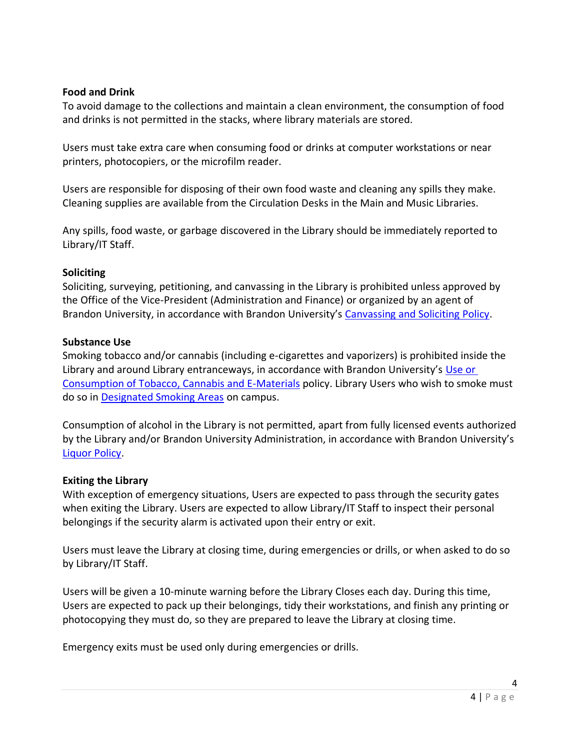### **Food and Drink**

To avoid damage to the collections and maintain a clean environment, the consumption of food and drinks is not permitted in the stacks, where library materials are stored.

Users must take extra care when consuming food or drinks at computer workstations or near printers, photocopiers, or the microfilm reader.

Users are responsible for disposing of their own food waste and cleaning any spills they make. Cleaning supplies are available from the Circulation Desks in the Main and Music Libraries.

Any spills, food waste, or garbage discovered in the Library should be immediately reported to Library/IT Staff.

### **Soliciting**

Soliciting, surveying, petitioning, and canvassing in the Library is prohibited unless approved by the Office of the Vice-President (Administration and Finance) or organized by an agent of Brandon University, in accordance with Brandon University's [Canvassing and Soliciting Policy.](https://www.brandonu.ca/vp-finance/files/Canvassing-and-Soliciting-Policy-September-12-2018.pdf)

### **Substance Use**

Smoking tobacco and/or cannabis (including e-cigarettes and vaporizers) is prohibited inside the Library and around Library entranceways, in accordance with Brandon University's [Use or](https://www.brandonu.ca/governors/files/Use-or-Consumption-of-Tobacco-Cannabis-or-E-Materials-FINAL-September-2018.pdf)  [Consumption of Tobacco, Cannabis and E-Materials](https://www.brandonu.ca/governors/files/Use-or-Consumption-of-Tobacco-Cannabis-or-E-Materials-FINAL-September-2018.pdf) policy. Library Users who wish to smoke must do so in [Designated Smoking Areas](https://www.brandonu.ca/cleanair/) on campus.

Consumption of alcohol in the Library is not permitted, apart from fully licensed events authorized by the Library and/or Brandon University Administration, in accordance with Brandon University's [Liquor Policy.](https://www.brandonu.ca/hr/policies-procedures/liquor-policy/)

## **Exiting the Library**

With exception of emergency situations, Users are expected to pass through the security gates when exiting the Library. Users are expected to allow Library/IT Staff to inspect their personal belongings if the security alarm is activated upon their entry or exit.

Users must leave the Library at closing time, during emergencies or drills, or when asked to do so by Library/IT Staff.

Users will be given a 10-minute warning before the Library Closes each day. During this time, Users are expected to pack up their belongings, tidy their workstations, and finish any printing or photocopying they must do, so they are prepared to leave the Library at closing time.

Emergency exits must be used only during emergencies or drills.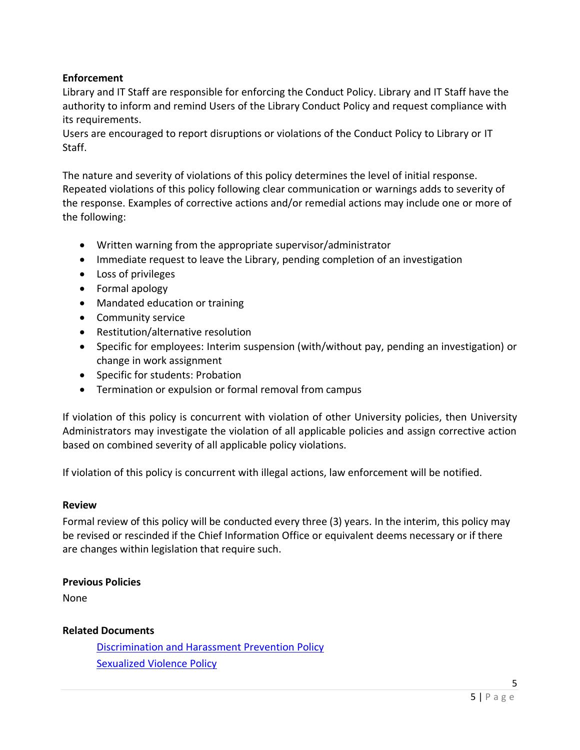# **Enforcement**

Library and IT Staff are responsible for enforcing the Conduct Policy. Library and IT Staff have the authority to inform and remind Users of the Library Conduct Policy and request compliance with its requirements.

Users are encouraged to report disruptions or violations of the Conduct Policy to Library or IT Staff.

The nature and severity of violations of this policy determines the level of initial response. Repeated violations of this policy following clear communication or warnings adds to severity of the response. Examples of corrective actions and/or remedial actions may include one or more of the following:

- Written warning from the appropriate supervisor/administrator
- Immediate request to leave the Library, pending completion of an investigation
- Loss of privileges
- Formal apology
- Mandated education or training
- Community service
- Restitution/alternative resolution
- Specific for employees: Interim suspension (with/without pay, pending an investigation) or change in work assignment
- Specific for students: Probation
- Termination or expulsion or formal removal from campus

If violation of this policy is concurrent with violation of other University policies, then University Administrators may investigate the violation of all applicable policies and assign corrective action based on combined severity of all applicable policy violations.

If violation of this policy is concurrent with illegal actions, law enforcement will be notified.

#### **Review**

Formal review of this policy will be conducted every three (3) years. In the interim, this policy may be revised or rescinded if the Chief Information Office or equivalent deems necessary or if there are changes within legislation that require such.

#### **Previous Policies**

None

## **Related Documents**

[Discrimination and Harassment Prevention Policy](https://www.brandonu.ca/diversity/discrimination-and-harassment-prevention-policy/) [Sexualized Violence Policy](https://www.brandonu.ca/governors/files/Sexualized-Violence-Policy-June-2018-FINAL.pdf)